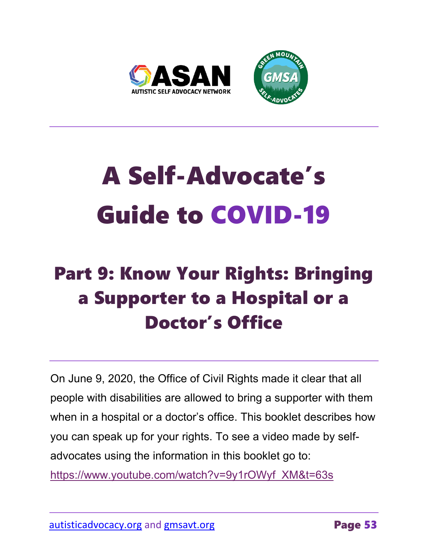

# A Self-Advocate's Guide to COVID-19

## Part 9: Know Your Rights: Bringing a Supporter to a Hospital or a Doctor's Office

On June 9, 2020, the Office of Civil Rights made it clear that all people with disabilities are allowed to bring a supporter with them when in a hospital or a doctor's office. This booklet describes how you can speak up for your rights. To see a video made by selfadvocates using the information in this booklet go to:

[https://www.youtube.com/watch?v=9y1rOWyf\\_XM&t=63s](https://www.youtube.com/watch?v=9y1rOWyf_XM&t=63s)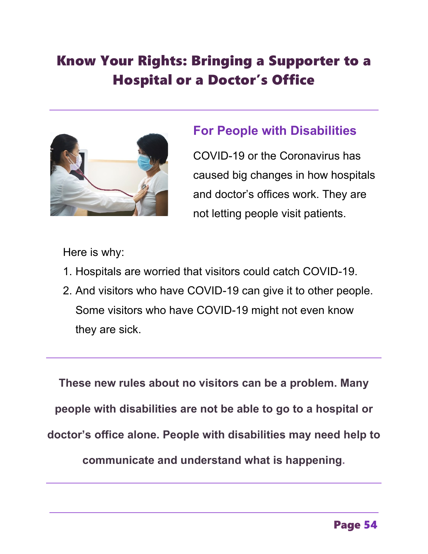### Know Your Rights: Bringing a Supporter to a Hospital or a Doctor's Office



#### **For People with Disabilities**

COVID-19 or the Coronavirus has caused big changes in how hospitals and doctor's offices work. They are not letting people visit patients.

Here is why:

- 1. Hospitals are worried that visitors could catch COVID-19.
- 2. And visitors who have COVID-19 can give it to other people. Some visitors who have COVID-19 might not even know they are sick.

**These new rules about no visitors can be a problem. Many people with disabilities are not be able to go to a hospital or doctor's office alone. People with disabilities may need help to communicate and understand what is happening.**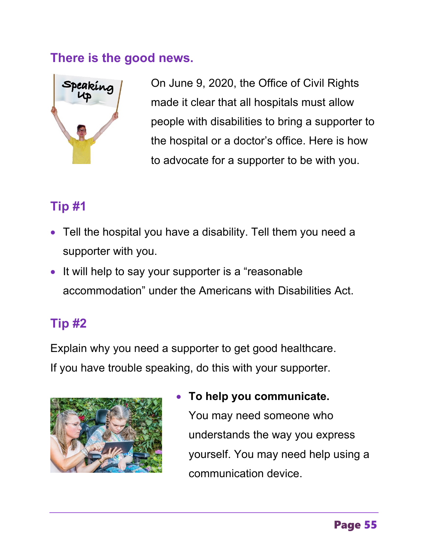#### **There is the good news.**



On June 9, 2020, the Office of Civil Rights made it clear that all hospitals must allow people with disabilities to bring a supporter to the hospital or a doctor's office. Here is how to advocate for a supporter to be with you.

#### **Tip #1**

- Tell the hospital you have a disability. Tell them you need a supporter with you.
- It will help to say your supporter is a "reasonable" accommodation" under the Americans with Disabilities Act.

#### **Tip #2**

Explain why you need a supporter to get good healthcare. If you have trouble speaking, do this with your supporter.



• **To help you communicate.**  You may need someone who understands the way you express yourself. You may need help using a communication device.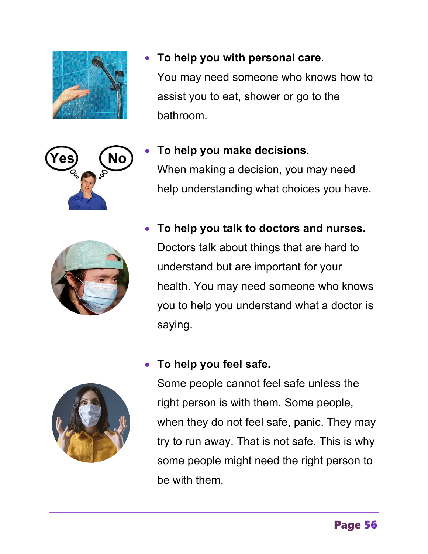

• **To help you talk to doctors and nurses***.* Doctors talk about things that are hard to understand but are important for your health. You may need someone who knows you to help you understand what a doctor is saying.

#### • **To help you feel safe.**

Some people cannot feel safe unless the right person is with them. Some people, when they do not feel safe, panic. They may try to run away. That is not safe. This is why some people might need the right person to be with them.





- 
- **To help you with personal care***.* You may need someone who knows how to assist you to eat, shower or go to the bathroom.
- **To help you make decisions***.*  When making a decision, you may need help understanding what choices you have.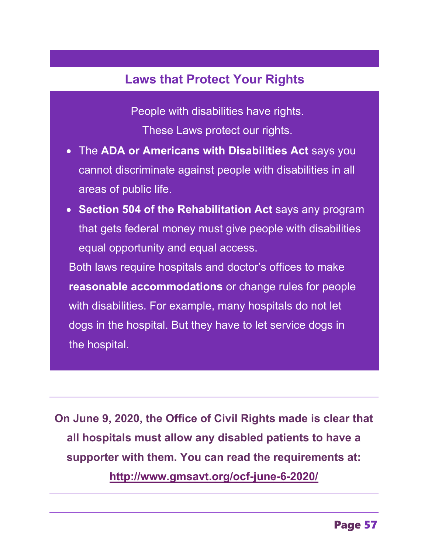#### **Laws that Protect Your Rights**

People with disabilities have rights. These Laws protect our rights.

- The **ADA or Americans with Disabilities Act** says you cannot discriminate against people with disabilities in all areas of public life.
- **Section 504 of the Rehabilitation Act** says any program that gets federal money must give people with disabilities equal opportunity and equal access.

Both laws require hospitals and doctor's offices to make **reasonable accommodations** or change rules for people with disabilities. For example, many hospitals do not let dogs in the hospital. But they have to let service dogs in the hospital.

**On June 9, 2020, the Office of Civil Rights made is clear that all hospitals must allow any disabled patients to have a supporter with them. You can read the requirements at: <http://www.gmsavt.org/ocf-june-6-2020/>**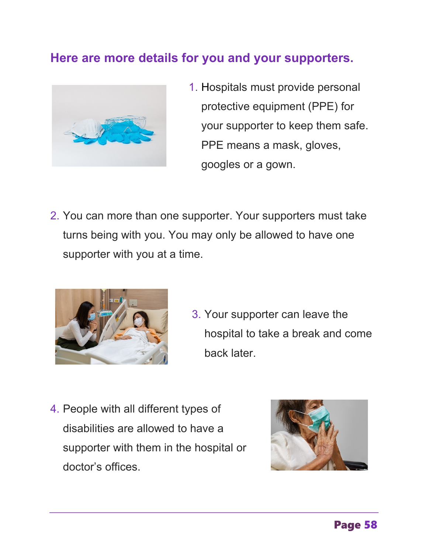#### **Here are more details for you and your supporters.**



- 1. Hospitals must provide personal protective equipment (PPE) for your supporter to keep them safe. PPE means a mask, gloves, googles or a gown.
- 2. You can more than one supporter. Your supporters must take turns being with you. You may only be allowed to have one supporter with you at a time.



- 3. Your supporter can leave the hospital to take a break and come back later.
- 4. People with all different types of disabilities are allowed to have a supporter with them in the hospital or doctor's offices.